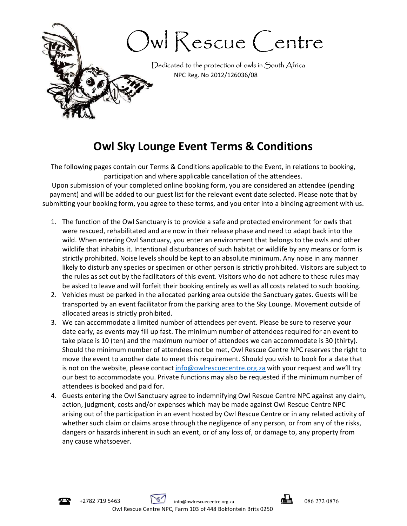

## Owl Sky Lounge Event Terms & Conditions

The following pages contain our Terms & Conditions applicable to the Event, in relations to booking, participation and where applicable cancellation of the attendees.

Upon submission of your completed online booking form, you are considered an attendee (pending payment) and will be added to our guest list for the relevant event date selected. Please note that by submitting your booking form, you agree to these terms, and you enter into a binding agreement with us.

- 1. The function of the Owl Sanctuary is to provide a safe and protected environment for owls that were rescued, rehabilitated and are now in their release phase and need to adapt back into the wild. When entering Owl Sanctuary, you enter an environment that belongs to the owls and other wildlife that inhabits it. Intentional disturbances of such habitat or wildlife by any means or form is strictly prohibited. Noise levels should be kept to an absolute minimum. Any noise in any manner likely to disturb any species or specimen or other person is strictly prohibited. Visitors are subject to the rules as set out by the facilitators of this event. Visitors who do not adhere to these rules may be asked to leave and will forfeit their booking entirely as well as all costs related to such booking.
- 2. Vehicles must be parked in the allocated parking area outside the Sanctuary gates. Guests will be transported by an event facilitator from the parking area to the Sky Lounge. Movement outside of allocated areas is strictly prohibited.
- 3. We can accommodate a limited number of attendees per event. Please be sure to reserve your date early, as events may fill up fast. The minimum number of attendees required for an event to take place is 10 (ten) and the maximum number of attendees we can accommodate is 30 (thirty). Should the minimum number of attendees not be met, Owl Rescue Centre NPC reserves the right to move the event to another date to meet this requirement. Should you wish to book for a date that is not on the website, please contact info@owlrescuecentre.org.za with your request and we'll try our best to accommodate you. Private functions may also be requested if the minimum number of attendees is booked and paid for.
- 4. Guests entering the Owl Sanctuary agree to indemnifying Owl Rescue Centre NPC against any claim, action, judgment, costs and/or expenses which may be made against Owl Rescue Centre NPC arising out of the participation in an event hosted by Owl Rescue Centre or in any related activity of whether such claim or claims arose through the negligence of any person, or from any of the risks, dangers or hazards inherent in such an event, or of any loss of, or damage to, any property from any cause whatsoever.